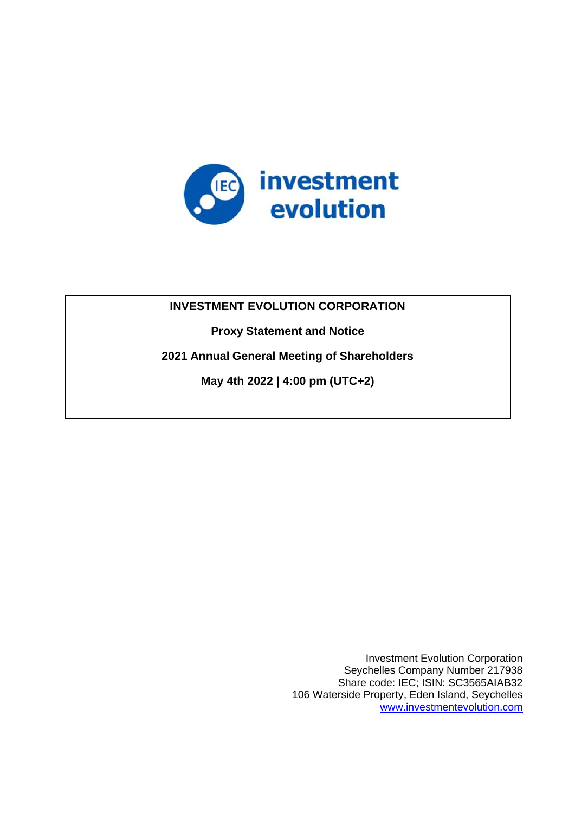

# **INVESTMENT EVOLUTION CORPORATION**

**Proxy Statement and Notice**

**2021 Annual General Meeting of Shareholders**

**May 4th 2022 | 4:00 pm (UTC+2)**

Investment Evolution Corporation Seychelles Company Number 217938 Share code: IEC; ISIN: SC3565AIAB32 106 Waterside Property, Eden Island, Seychelles [www.investmentevolution.com](http://www.investmentevolution.com/)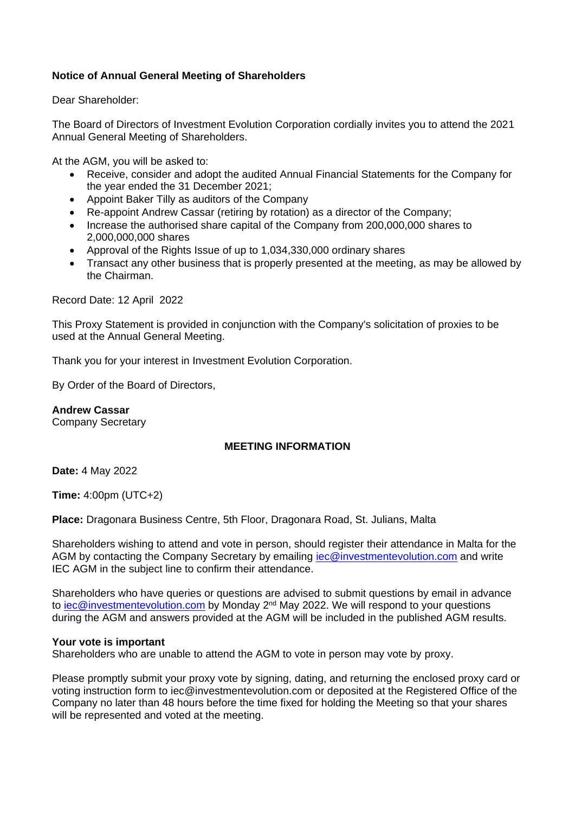## **Notice of Annual General Meeting of Shareholders**

Dear Shareholder:

The Board of Directors of Investment Evolution Corporation cordially invites you to attend the 2021 Annual General Meeting of Shareholders.

At the AGM, you will be asked to:

- Receive, consider and adopt the audited Annual Financial Statements for the Company for the year ended the 31 December 2021;
- Appoint Baker Tilly as auditors of the Company
- Re-appoint Andrew Cassar (retiring by rotation) as a director of the Company;
- Increase the authorised share capital of the Company from 200,000,000 shares to 2,000,000,000 shares
- Approval of the Rights Issue of up to 1,034,330,000 ordinary shares
- Transact any other business that is properly presented at the meeting, as may be allowed by the Chairman.

Record Date: 12 April 2022

This Proxy Statement is provided in conjunction with the Company's solicitation of proxies to be used at the Annual General Meeting.

Thank you for your interest in Investment Evolution Corporation.

By Order of the Board of Directors,

**Andrew Cassar** Company Secretary

## **MEETING INFORMATION**

**Date:** 4 May 2022

**Time:** 4:00pm (UTC+2)

**Place:** Dragonara Business Centre, 5th Floor, Dragonara Road, St. Julians, Malta

Shareholders wishing to attend and vote in person, should register their attendance in Malta for the AGM by contacting the Company Secretary by emailing [iec@investmentevolution.com](mailto:iec@investmentevolution.com) and write IEC AGM in the subject line to confirm their attendance.

Shareholders who have queries or questions are advised to submit questions by email in advance to [iec@investmentevolution.com](mailto:iec@investmentevolution.com) by Monday 2<sup>nd</sup> May 2022. We will respond to your questions during the AGM and answers provided at the AGM will be included in the published AGM results.

#### **Your vote is important**

Shareholders who are unable to attend the AGM to vote in person may vote by proxy.

Please promptly submit your proxy vote by signing, dating, and returning the enclosed proxy card or voting instruction form to iec@investmentevolution.com or deposited at the Registered Office of the Company no later than 48 hours before the time fixed for holding the Meeting so that your shares will be represented and voted at the meeting.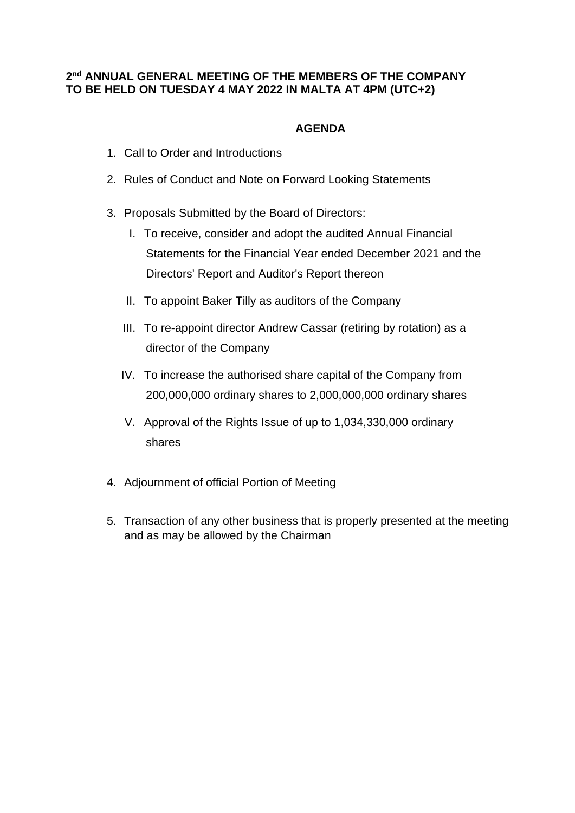# **2 nd ANNUAL GENERAL MEETING OF THE MEMBERS OF THE COMPANY TO BE HELD ON TUESDAY 4 MAY 2022 IN MALTA AT 4PM (UTC+2)**

# **AGENDA**

- 1. Call to Order and Introductions
- 2. Rules of Conduct and Note on Forward Looking Statements
- 3. Proposals Submitted by the Board of Directors:
	- I. To receive, consider and adopt the audited Annual Financial Statements for the Financial Year ended December 2021 and the Directors' Report and Auditor's Report thereon
	- II. To appoint Baker Tilly as auditors of the Company
	- III. To re-appoint director Andrew Cassar (retiring by rotation) as a director of the Company
	- IV. To increase the authorised share capital of the Company from 200,000,000 ordinary shares to 2,000,000,000 ordinary shares
	- V. Approval of the Rights Issue of up to 1,034,330,000 ordinary shares
- 4. Adjournment of official Portion of Meeting
- 5. Transaction of any other business that is properly presented at the meeting and as may be allowed by the Chairman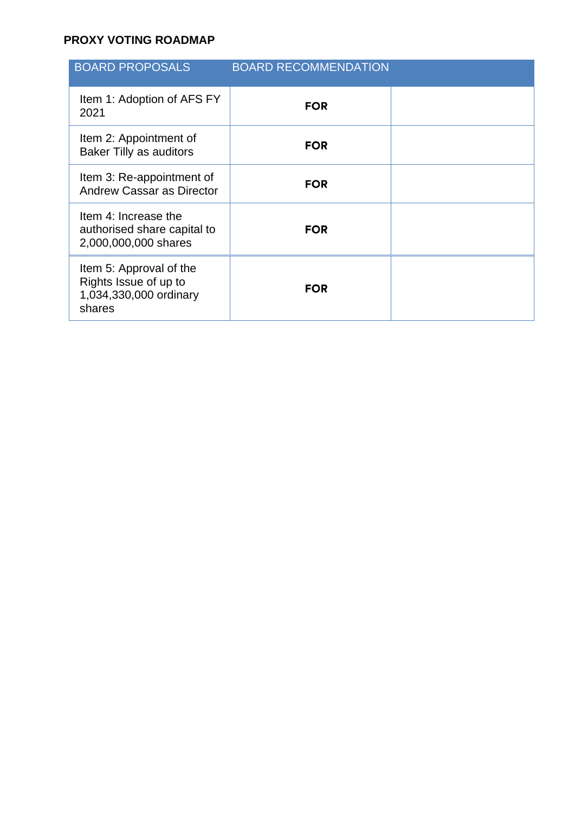# **PROXY VOTING ROADMAP**

| <b>BOARD PROPOSALS</b>                                                               | <b>BOARD RECOMMENDATION</b> |  |
|--------------------------------------------------------------------------------------|-----------------------------|--|
| Item 1: Adoption of AFS FY<br>2021                                                   | <b>FOR</b>                  |  |
| Item 2: Appointment of<br><b>Baker Tilly as auditors</b>                             | <b>FOR</b>                  |  |
| Item 3: Re-appointment of<br><b>Andrew Cassar as Director</b>                        | <b>FOR</b>                  |  |
| Item 4: Increase the<br>authorised share capital to<br>2,000,000,000 shares          | <b>FOR</b>                  |  |
| Item 5: Approval of the<br>Rights Issue of up to<br>1,034,330,000 ordinary<br>shares | <b>FOR</b>                  |  |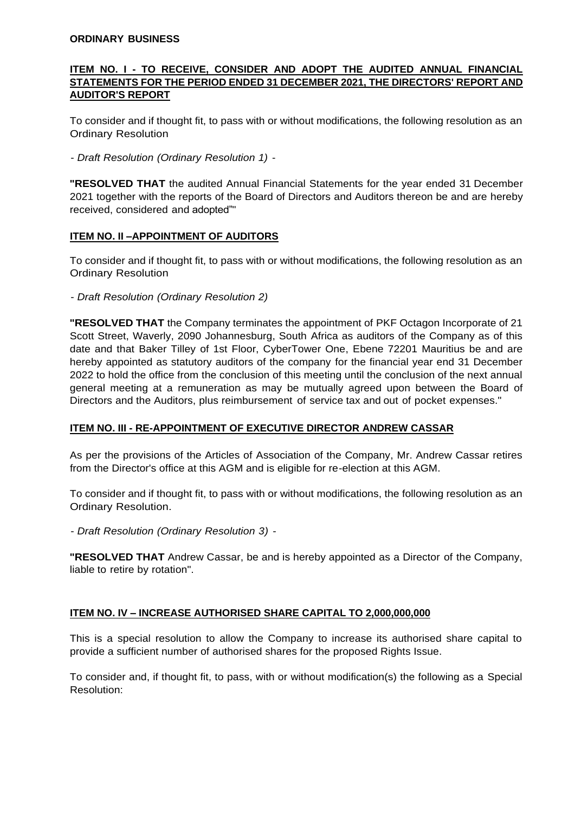#### **ORDINARY BUSINESS**

#### **ITEM NO. I - TO RECEIVE, CONSIDER AND ADOPT THE AUDITED ANNUAL FINANCIAL STATEMENTS FOR THE PERIOD ENDED 31 DECEMBER 2021, THE DIRECTORS' REPORT AND AUDITOR'S REPORT**

To consider and if thought fit, to pass with or without modifications, the following resolution as an Ordinary Resolution

- *Draft Resolution (Ordinary Resolution 1)* -

**"RESOLVED THAT** the audited Annual Financial Statements for the year ended 31 December 2021 together with the reports of the Board of Directors and Auditors thereon be and are hereby received, considered and adopted""

#### **ITEM NO. II –APPOINTMENT OF AUDITORS**

To consider and if thought fit, to pass with or without modifications, the following resolution as an Ordinary Resolution

- *Draft Resolution (Ordinary Resolution 2)*

**"RESOLVED THAT** the Company terminates the appointment of PKF Octagon Incorporate of 21 Scott Street, Waverly, 2090 Johannesburg, South Africa as auditors of the Company as of this date and that Baker Tilley of 1st Floor, CyberTower One, Ebene 72201 Mauritius be and are hereby appointed as statutory auditors of the company for the financial year end 31 December 2022 to hold the office from the conclusion of this meeting until the conclusion of the next annual general meeting at a remuneration as may be mutually agreed upon between the Board of Directors and the Auditors, plus reimbursement of service tax and out of pocket expenses."

## **ITEM NO. III - RE-APPOINTMENT OF EXECUTIVE DIRECTOR ANDREW CASSAR**

As per the provisions of the Articles of Association of the Company, Mr. Andrew Cassar retires from the Director's office at this AGM and is eligible for re-election at this AGM.

To consider and if thought fit, to pass with or without modifications, the following resolution as an Ordinary Resolution.

- *Draft Resolution (Ordinary Resolution 3)* -

**"RESOLVED THAT** Andrew Cassar, be and is hereby appointed as a Director of the Company, liable to retire by rotation".

## **ITEM NO. IV – INCREASE AUTHORISED SHARE CAPITAL TO 2,000,000,000**

This is a special resolution to allow the Company to increase its authorised share capital to provide a sufficient number of authorised shares for the proposed Rights Issue.

To consider and, if thought fit, to pass, with or without modification(s) the following as a Special Resolution: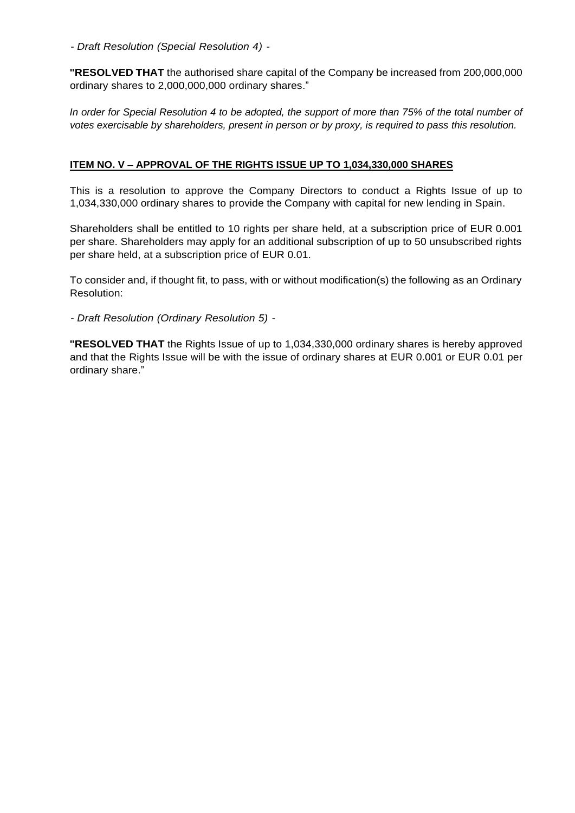- *Draft Resolution (Special Resolution 4)* -

**"RESOLVED THAT** the authorised share capital of the Company be increased from 200,000,000 ordinary shares to 2,000,000,000 ordinary shares."

*In order for Special Resolution 4 to be adopted, the support of more than 75% of the total number of votes exercisable by shareholders, present in person or by proxy, is required to pass this resolution.*

#### **ITEM NO. V – APPROVAL OF THE RIGHTS ISSUE UP TO 1,034,330,000 SHARES**

This is a resolution to approve the Company Directors to conduct a Rights Issue of up to 1,034,330,000 ordinary shares to provide the Company with capital for new lending in Spain.

Shareholders shall be entitled to 10 rights per share held, at a subscription price of EUR 0.001 per share. Shareholders may apply for an additional subscription of up to 50 unsubscribed rights per share held, at a subscription price of EUR 0.01.

To consider and, if thought fit, to pass, with or without modification(s) the following as an Ordinary Resolution:

- *Draft Resolution (Ordinary Resolution 5)* -

**"RESOLVED THAT** the Rights Issue of up to 1,034,330,000 ordinary shares is hereby approved and that the Rights Issue will be with the issue of ordinary shares at EUR 0.001 or EUR 0.01 per ordinary share."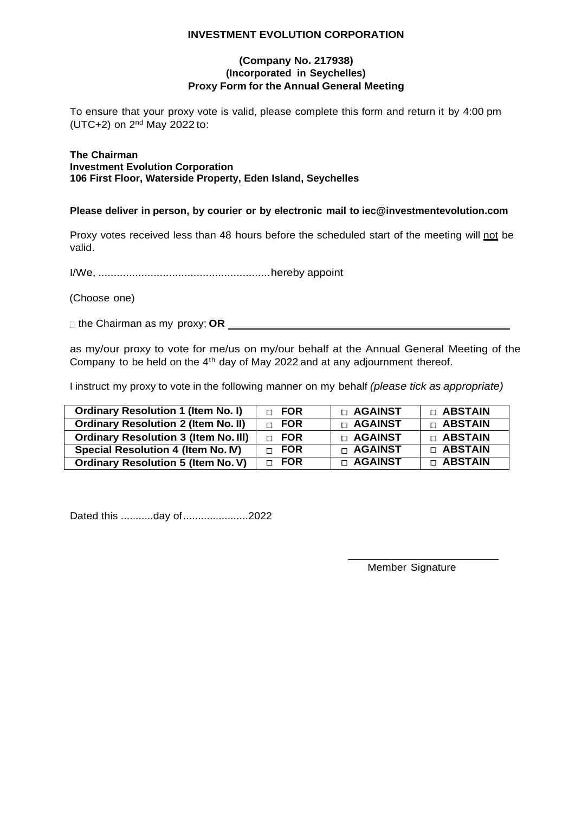#### **INVESTMENT EVOLUTION CORPORATION**

#### **(Company No. 217938) (Incorporated in Seychelles) Proxy Form for the Annual General Meeting**

To ensure that your proxy vote is valid, please complete this form and return it by 4:00 pm (UTC+2) on 2<sup>nd</sup> May 2022 to:

#### **The Chairman Investment Evolution Corporation 106 First Floor, Waterside Property, Eden Island, Seychelles**

#### **Please deliver in person, by courier or by electronic mail to iec@investmentevolution.com**

Proxy votes received less than 48 hours before the scheduled start of the meeting will not be valid.

I/We, ........................................................hereby appoint

(Choose one)

□ the Chairman as my proxy; OR

as my/our proxy to vote for me/us on my/our behalf at the Annual General Meeting of the Company to be held on the 4<sup>th</sup> day of May 2022 and at any adjournment thereof.

I instruct my proxy to vote in the following manner on my behalf *(please tick as appropriate)*

| <b>Ordinary Resolution 1 (Item No. I)</b>   | $\Box$ FOR   | □ AGAINST      | <b>D ABSTAIN</b> |
|---------------------------------------------|--------------|----------------|------------------|
| <b>Ordinary Resolution 2 (Item No. II)</b>  | $\Box$ FOR   | $\Box$ AGAINST | $\Box$ ABSTAIN   |
| <b>Ordinary Resolution 3 (Item No. III)</b> | $\sqcap$ FOR | □ AGAINST      | $\sqcap$ ABSTAIN |
| Special Resolution 4 (Item No. IV)          | $\sqcap$ FOR | $\Box$ AGAINST | <b>D ABSTAIN</b> |
| <b>Ordinary Resolution 5 (Item No. V)</b>   | $\Box$ FOR   | □ AGAINST      | <b>n ABSTAIN</b> |

Dated this ...........day of......................2022

Member Signature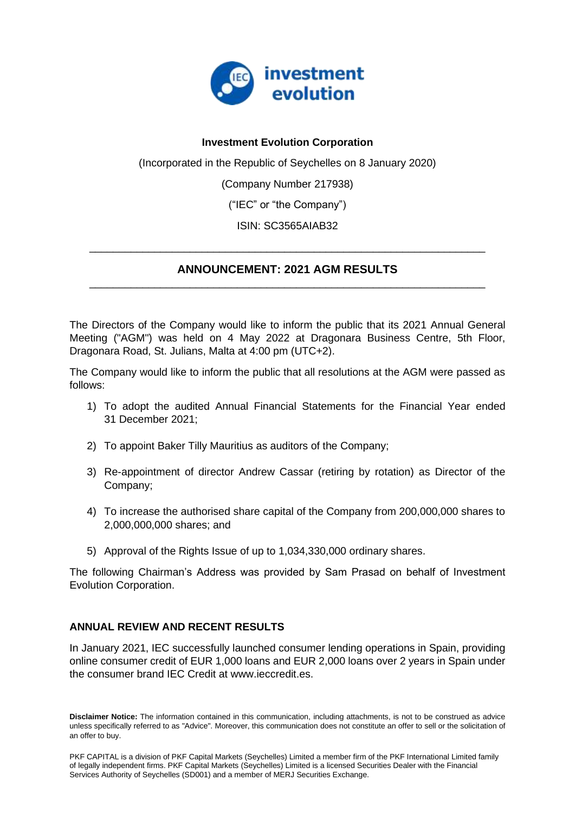

## **Investment Evolution Corporation**

(Incorporated in the Republic of Seychelles on 8 January 2020)

(Company Number 217938)

("IEC" or "the Company")

ISIN: SC3565AIAB32

# **ANNOUNCEMENT: 2021 AGM RESULTS** \_\_\_\_\_\_\_\_\_\_\_\_\_\_\_\_\_\_\_\_\_\_\_\_\_\_\_\_\_\_\_\_\_\_\_\_\_\_\_\_\_\_\_\_\_\_\_\_\_\_\_\_\_\_\_\_\_\_\_\_\_\_\_\_\_\_\_

\_\_\_\_\_\_\_\_\_\_\_\_\_\_\_\_\_\_\_\_\_\_\_\_\_\_\_\_\_\_\_\_\_\_\_\_\_\_\_\_\_\_\_\_\_\_\_\_\_\_\_\_\_\_\_\_\_\_\_\_\_\_\_\_\_\_\_

The Directors of the Company would like to inform the public that its 2021 Annual General Meeting ("AGM") was held on 4 May 2022 at Dragonara Business Centre, 5th Floor, Dragonara Road, St. Julians, Malta at 4:00 pm (UTC+2).

The Company would like to inform the public that all resolutions at the AGM were passed as follows:

- 1) To adopt the audited Annual Financial Statements for the Financial Year ended 31 December 2021;
- 2) To appoint Baker Tilly Mauritius as auditors of the Company;
- 3) Re-appointment of director Andrew Cassar (retiring by rotation) as Director of the Company;
- 4) To increase the authorised share capital of the Company from 200,000,000 shares to 2,000,000,000 shares; and
- 5) Approval of the Rights Issue of up to 1,034,330,000 ordinary shares.

The following Chairman's Address was provided by Sam Prasad on behalf of Investment Evolution Corporation.

# **ANNUAL REVIEW AND RECENT RESULTS**

In January 2021, IEC successfully launched consumer lending operations in Spain, providing online consumer credit of EUR 1,000 loans and EUR 2,000 loans over 2 years in Spain under the consumer brand IEC Credit at www.ieccredit.es.

**Disclaimer Notice:** The information contained in this communication, including attachments, is not to be construed as advice unless specifically referred to as "Advice". Moreover, this communication does not constitute an offer to sell or the solicitation of an offer to buy.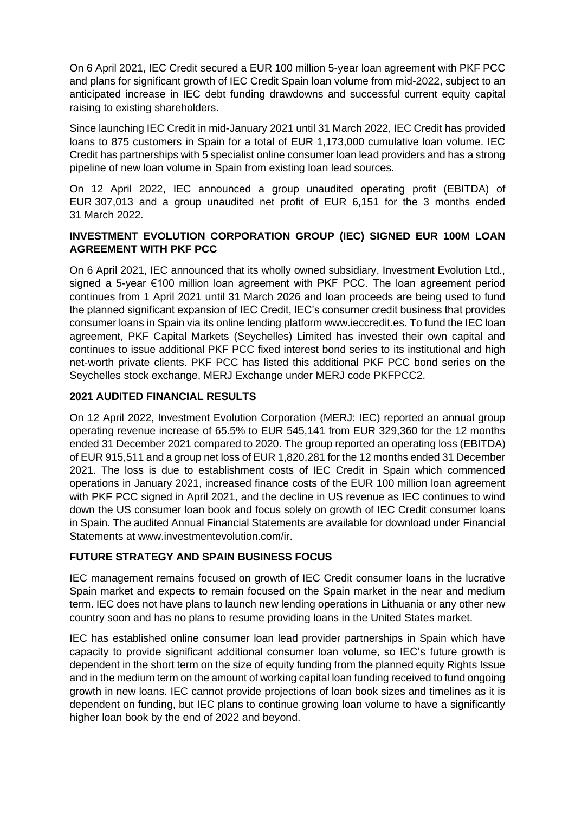On 6 April 2021, IEC Credit secured a EUR 100 million 5-year loan agreement with PKF PCC and plans for significant growth of IEC Credit Spain loan volume from mid-2022, subject to an anticipated increase in IEC debt funding drawdowns and successful current equity capital raising to existing shareholders.

Since launching IEC Credit in mid-January 2021 until 31 March 2022, IEC Credit has provided loans to 875 customers in Spain for a total of EUR 1,173,000 cumulative loan volume. IEC Credit has partnerships with 5 specialist online consumer loan lead providers and has a strong pipeline of new loan volume in Spain from existing loan lead sources.

On 12 April 2022, IEC announced a group unaudited operating profit (EBITDA) of EUR 307,013 and a group unaudited net profit of EUR 6,151 for the 3 months ended 31 March 2022.

## **INVESTMENT EVOLUTION CORPORATION GROUP (IEC) SIGNED EUR 100M LOAN AGREEMENT WITH PKF PCC**

On 6 April 2021, IEC announced that its wholly owned subsidiary, Investment Evolution Ltd., signed a 5-year €100 million loan agreement with PKF PCC. The loan agreement period continues from 1 April 2021 until 31 March 2026 and loan proceeds are being used to fund the planned significant expansion of IEC Credit, IEC's consumer credit business that provides consumer loans in Spain via its online lending platform www.ieccredit.es. To fund the IEC loan agreement, PKF Capital Markets (Seychelles) Limited has invested their own capital and continues to issue additional PKF PCC fixed interest bond series to its institutional and high net-worth private clients. PKF PCC has listed this additional PKF PCC bond series on the Seychelles stock exchange, MERJ Exchange under MERJ code PKFPCC2.

## **2021 AUDITED FINANCIAL RESULTS**

On 12 April 2022, Investment Evolution Corporation (MERJ: IEC) reported an annual group operating revenue increase of 65.5% to EUR 545,141 from EUR 329,360 for the 12 months ended 31 December 2021 compared to 2020. The group reported an operating loss (EBITDA) of EUR 915,511 and a group net loss of EUR 1,820,281 for the 12 months ended 31 December 2021. The loss is due to establishment costs of IEC Credit in Spain which commenced operations in January 2021, increased finance costs of the EUR 100 million loan agreement with PKF PCC signed in April 2021, and the decline in US revenue as IEC continues to wind down the US consumer loan book and focus solely on growth of IEC Credit consumer loans in Spain. The audited Annual Financial Statements are available for download under Financial Statements at www.investmentevolution.com/ir.

# **FUTURE STRATEGY AND SPAIN BUSINESS FOCUS**

IEC management remains focused on growth of IEC Credit consumer loans in the lucrative Spain market and expects to remain focused on the Spain market in the near and medium term. IEC does not have plans to launch new lending operations in Lithuania or any other new country soon and has no plans to resume providing loans in the United States market.

IEC has established online consumer loan lead provider partnerships in Spain which have capacity to provide significant additional consumer loan volume, so IEC's future growth is dependent in the short term on the size of equity funding from the planned equity Rights Issue and in the medium term on the amount of working capital loan funding received to fund ongoing growth in new loans. IEC cannot provide projections of loan book sizes and timelines as it is dependent on funding, but IEC plans to continue growing loan volume to have a significantly higher loan book by the end of 2022 and beyond.